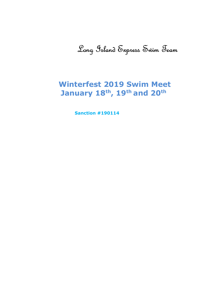# Long Island Express Swim Team

## Winterfest 2019 Swim Meet January 18th, 19th and 20th

Sanction #190114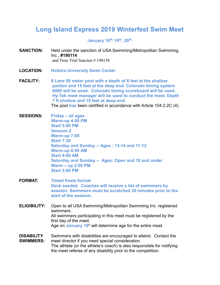## Long Island Express 2019 Winterfest Swim Meet

January 18th, 19th, 20th,

- **SANCTION:** Held under the sanction of USA Swimming/Metropolitan Swimming, Inc., #190114 and Time Trial Sancton # 190158
- LOCATION: Hofstra University Swim Center
- FACILITY: 8 Lane 50 meter pool with a depth of 8 feet at the shallow portion and 15 feet at the deep end. Colorado timing system 6000 will be used. Colorado timing scoreboard will be used. Hy-Tek meet manager will be used to conduct the meet. Depth 7 ft shallow and 15 feet at deep end. The pool has been certified in accordance with Article 104.2.2C (4)
- SESSIONS: Friday all ages Warm-up 4:00 PM Start 5:00 PM Session 2 Warm-up 7:00 Start 7:30 Saturday and Sunday -- Ages : 13-14 and 11-12 Warm-up 8:00 AM Start 9:00 AM Saturday and Sunday -- Ages: Open and 10 and under Warm – up 2:00 PM Start 3:00 PM
- FORMAT: Timed finals format Deck seeded. Coaches will receive a list of swimmers by session. Swimmers must be scratched 30 minutes prior to the start of the session.
- ELIGIBILITY: Open to all USA Swimming/Metropolitan Swimming Inc. registered swimmers. All swimmers participating in this meet must be registered by the first day of the meet. Age on January 18<sup>h</sup> will determine age for the entire meet.
- DISABILITY SWIMMERS: Swimmers with disabilities are encouraged to attend. Contact the meet director if you need special consideration. The athlete (or the athlete's coach) is also responsible for notifying the meet referee of any disability prior to the competition.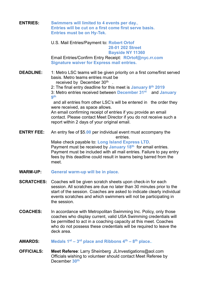| <b>ENTRIES:</b>   | Swimmers will limited to 4 events per day.,<br>Entries will be cut on a first come first serve basis.<br><b>Entries must be on Hy-Tek.</b>                                                                                                                                                                                                                                                                                                                                                                                                                                                                |
|-------------------|-----------------------------------------------------------------------------------------------------------------------------------------------------------------------------------------------------------------------------------------------------------------------------------------------------------------------------------------------------------------------------------------------------------------------------------------------------------------------------------------------------------------------------------------------------------------------------------------------------------|
|                   | U.S. Mail Entries/Payment to: Robert Ortof<br><b>28-01 202 Street</b><br><b>Bayside NY 11360</b><br>Email Entries/Confirm Entry Receipt: ROrtof@nyc.rr.com<br><b>Signature waiver for Express mail entries.</b>                                                                                                                                                                                                                                                                                                                                                                                           |
| <b>DEADLINE:</b>  | 1: Metro LSC teams will be given priority on a first come/first served<br>basis. Metro teams entries must be<br>received by December 30th<br>2: The final entry deadline for this meet is January 8 <sup>th</sup> 2019<br>3: Metro entries received between December 31 <sup>st</sup> and January<br>gth<br>and all entries from other LSC's will be entered in the order they<br>were received, as space allows.<br>An email confirming receipt of entries if you provide an email<br>contact. Please contact Meet Director if you do not receive such a<br>report within 2 days of your original email. |
| <b>ENTRY FEE:</b> | An entry fee of \$5.00 per individual event must accompany the<br>entries.<br>Make check payable to: Long Island Express LTD.<br>Payment must be received by January 18th for email entries.<br>Payment must be included with all mail entries. Failure to pay entry<br>fees by this deadline could result in teams being barred from the<br>meet.                                                                                                                                                                                                                                                        |
| <b>WARM-UP:</b>   | General warm-up will be in place.                                                                                                                                                                                                                                                                                                                                                                                                                                                                                                                                                                         |
|                   | <b>SCRATCHES:</b> Coaches will be given scratch sheets upon check-in for each<br>session. All scratches are due no later than 30 minutes prior to the<br>start of the session. Coaches are asked to indicate clearly individual<br>events scratches and which swimmers will not be participating in<br>the session.                                                                                                                                                                                                                                                                                       |
| <b>COACHES:</b>   | In accordance with Metropolitan Swimming Inc. Policy, only those<br>coaches who display current, valid USA Swimming credentials will<br>be permitted to act in a coaching capacity at this meet. Coaches<br>who do not possess these credentials will be required to leave the<br>deck area.                                                                                                                                                                                                                                                                                                              |
|                   |                                                                                                                                                                                                                                                                                                                                                                                                                                                                                                                                                                                                           |

- **AWARDS:** Medals  $1^{st} 3^{rd}$  place and Ribbons  $4^{th} 8^{th}$  place..
- **OFFICIALS: Meet Referee:** Larry Sheinberg JLInvestigations@aol.com Officials wishing to volunteer should contact Meet Referee by December 30<sup>th</sup>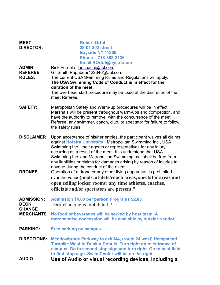| <b>MEET</b><br><b>DIRECTOR:</b>                 | <b>Robert Ortof</b><br>28-01 202 street<br><b>Bayside NY 11360</b><br>Phone - 718-352-2136<br><b>Email ROrtof@nyc.rr.com</b>                                                                                                                                                                                                                                                                                                                                                                                                                                                                                                                                                                                |
|-------------------------------------------------|-------------------------------------------------------------------------------------------------------------------------------------------------------------------------------------------------------------------------------------------------------------------------------------------------------------------------------------------------------------------------------------------------------------------------------------------------------------------------------------------------------------------------------------------------------------------------------------------------------------------------------------------------------------------------------------------------------------|
| <b>ADMIN</b><br><b>REFEREE</b><br><b>RULES:</b> | Rick Ferriola Liecoach@aol.com<br>Gil Smith Papabear122346@aol.com<br>The current USA Swimming Rules and Regulations will apply.<br>The USA Swimming Code of Conduct is in effect for the<br>duration of the meet.<br>The overhead start procedure may be used at the discretion of the<br>meet Referee.                                                                                                                                                                                                                                                                                                                                                                                                    |
| <b>SAFETY:</b>                                  | Metropolitan Safety and Warm-up procedures will be in effect.<br>Marshals will be present throughout warm-ups and competition, and<br>have the authority to remove, with the concurrence of the meet<br>Referee, any swimmer, coach, club, or spectator for failure to follow<br>the safety rules.                                                                                                                                                                                                                                                                                                                                                                                                          |
| <b>DISCLAIMER</b><br><b>DRONES</b>              | Upon acceptance of his/her entries, the participant waives all claims<br>against Hofstra University, Metropolitan Swimming Inc., USA<br>Swimming Inc., their agents or representatives for any injury<br>occurring as a result of the meet. It is understood that USA<br>Swimming Inc. and Metropolitan Swimming Inc. shall be free from<br>any liabilities or claims for damages arising by reason of injuries to<br>anyone during the conduct of the event.<br>Operation of a drone or any other flying apparatus, is prohibited<br>over the venue(pools, athlete/coach areas, spectator areas and<br>open ceiling locker rooms) any time athletes, coaches,<br>officials and/or spectators are present." |
| <b>ADMISSION:</b><br><b>DECK</b>                | <b>Admission \$4.00 per person Programs \$2.00</b><br>Deck changing is prohibited !!                                                                                                                                                                                                                                                                                                                                                                                                                                                                                                                                                                                                                        |
| <b>CHANGE</b><br><b>MERCHANTS</b>               | No food or beverages will be served by host team. A<br>merchandise concession will be available by outside vendor.                                                                                                                                                                                                                                                                                                                                                                                                                                                                                                                                                                                          |
| <b>PARKING:</b>                                 | Free parking on campus.                                                                                                                                                                                                                                                                                                                                                                                                                                                                                                                                                                                                                                                                                     |
| <b>DIRECTIONS:</b>                              | <b>Meadowbrook Parkway to exit M4, (route 24 west) Hempstead</b><br>Turnpike West to Dunkin Donuts. Turn right on to entrance of<br>campus. Go to second stop sign and turn right. Go to past field<br>to first stop sign. Swim Center will be on the right.                                                                                                                                                                                                                                                                                                                                                                                                                                                |
| <b>AUDIO</b>                                    | Use of Audio or visual recording devices, including a                                                                                                                                                                                                                                                                                                                                                                                                                                                                                                                                                                                                                                                       |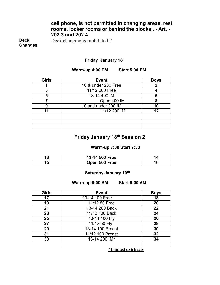#### cell phone, is not permitted in changing areas, rest rooms, locker rooms or behind the blocks.. - Art. - 202.3 and 202.4

Deck Changes Deck changing is prohibited !!

#### Friday January 18<sup>h</sup>

#### Warm-up 4:00 PM Start 5:00 PM

| <b>Girls</b> | <b>Event</b>        | <b>Boys</b> |
|--------------|---------------------|-------------|
|              | 10 & under 200 Free |             |
| 3            | 11/12 200 Free      |             |
| 5            | 13-14 400 IM        |             |
|              | Open 400 IM         |             |
| 9            | 10 and under 200 IM |             |
| 11           | 11/12 200 IM        | 12          |
|              |                     |             |
|              |                     |             |
|              |                     |             |

#### Friday January 18th Session 2

#### Warm-up 7:00 Start 7:30

| 13-14 500 Free |  |
|----------------|--|
| Open 500 Free  |  |

#### Saturday January 19<sup>th</sup>

#### Warm-up 8:00 AM Start 9:00 AM

| <b>Girls</b> | <b>Event</b>     | <b>Boys</b> |
|--------------|------------------|-------------|
| 17           | 13-14 100 Free   | 18          |
| 19           | 11/12 50 Free    | 20          |
| 21           | 13-14 200 Back   | 22          |
| 23           | 11/12 100 Back   | 24          |
| 25           | 13-14 100 Fly    | 26          |
| 27           | 11/12 50 Fly     | 28          |
| 29           | 13-14 100 Breast | 30          |
| 31           | 11/12 100 Breast | 32          |
| 33           | 13-14 200 IM*    | 34          |
|              |                  |             |

\*Limited to 6 heats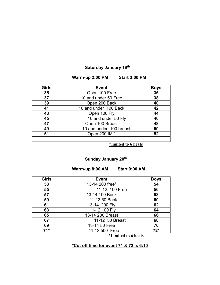#### Saturday January 19<sup>th</sup>

Warm-up 2:00 PM Start 3:00 PM

| <b>Girls</b> | <b>Event</b>            | <b>Boys</b> |
|--------------|-------------------------|-------------|
| 35           | Open 100 Free           | 36          |
| 37           | 10 and under 50 Free    | 38          |
| 39           | Open 200 Back           | 40          |
| 41           | 10 and under 100 Back   | 42          |
| 43           | Open 100 Fly            | 44          |
| 45           | 10 and under 50 Fly     | 46          |
| 47           | Open 100 Breast         | 48          |
| 49           | 10 and under 100 breast | 50          |
| 51           | Open 200 IM *           | 52          |
|              |                         |             |

\*limited to 6 heats

### Sunday January 20<sup>th</sup>

Warm-up 8:00 AM Start 9:00 AM

| <b>Girls</b> | <b>Event</b>     | <b>Boys</b> |
|--------------|------------------|-------------|
| 53           | 13-14 200 free*  | 54          |
| 55           | 11-12 100 Free   | 56          |
| 57           | 13-14 100 Back   | 58          |
| 59           | 11-12 50 Back    | 60          |
| 61           | 13-14 200 Fly    | 62          |
| 63           | 11-12 100 Fly    | 64          |
| 65           | 13-14 200 Breast | 66          |
| 67           | 11-12 50 Breast  | 68          |
| 69           | 13-14 50 Free    | 70          |
| $71*$        | 11-12 500 Free   | $72*$       |
|              |                  |             |

\*Limited to 6 heats

#### \*Cut off time for event 71 & 72 is 6:10